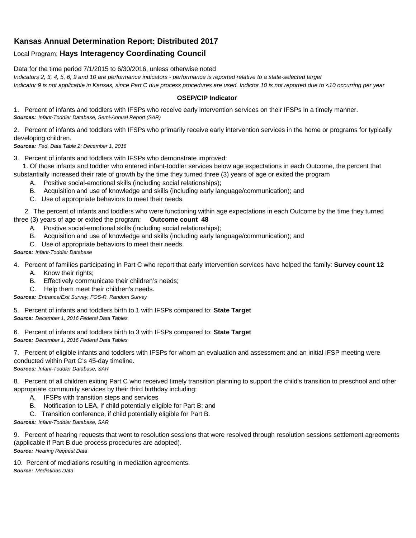## **Kansas Annual Determination Report: Distributed 2017**

## Local Program: **Hays Interagency Coordinating Council**

Data for the time period 7/1/2015 to 6/30/2016, unless otherwise noted

*Indicators 2, 3, 4, 5, 6, 9 and 10 are performance indicators - performance is reported relative to a state-selected target*

*Indicator 9 is not applicable in Kansas, since Part C due process procedures are used. Indictor 10 is not reported due to <10 occurring per year*

## **OSEP/CIP Indicator**

1. Percent of infants and toddlers with IFSPs who receive early intervention services on their IFSPs in a timely manner. *Sources: Infant-Toddler Database, Semi-Annual Report (SAR)* 

2. Percent of infants and toddlers with IFSPs who primarily receive early intervention services in the home or programs for typically developing children.

*Sources: Fed. Data Table 2; December 1, 2016*

3. Percent of infants and toddlers with IFSPs who demonstrate improved:

 1. Of those infants and toddler who entered infant-toddler services below age expectations in each Outcome, the percent that substantially increased their rate of growth by the time they turned three (3) years of age or exited the program

- A. Positive social-emotional skills (including social relationships);
- B. Acquisition and use of knowledge and skills (including early language/communication); and
- C. Use of appropriate behaviors to meet their needs.

 2. The percent of infants and toddlers who were functioning within age expectations in each Outcome by the time they turned three (3) years of age or exited the program: **Outcome count 48**

- A. Positive social-emotional skills (including social relationships);
- B. Acquisition and use of knowledge and skills (including early language/communication); and
- C. Use of appropriate behaviors to meet their needs.

## *Source: Infant-Toddler Database*

4. Percent of families participating in Part C who report that early intervention services have helped the family: **Survey count 12**

- A. Know their rights;
- B. Effectively communicate their children's needs;
- C. Help them meet their children's needs.

*Sources: Entrance/Exit Survey, FOS-R, Random Survey*

5. Percent of infants and toddlers birth to 1 with IFSPs compared to: **State Target** *Source: December 1, 2016 Federal Data Tables*

6. Percent of infants and toddlers birth to 3 with IFSPs compared to: **State Target** *Source: December 1, 2016 Federal Data Tables*

7. Percent of eligible infants and toddlers with IFSPs for whom an evaluation and assessment and an initial IFSP meeting were conducted within Part C's 45-day timeline.

*Sources: Infant-Toddler Database, SAR*

8. Percent of all children exiting Part C who received timely transition planning to support the child's transition to preschool and other appropriate community services by their third birthday including:

- A. IFSPs with transition steps and services
- B. Notification to LEA, if child potentially eligible for Part B; and
- C. Transition conference, if child potentially eligible for Part B.

*Sources: Infant-Toddler Database, SAR*

9. Percent of hearing requests that went to resolution sessions that were resolved through resolution sessions settlement agreements (applicable if Part B due process procedures are adopted). *Source: Hearing Request Data*

10. Percent of mediations resulting in mediation agreements. *Source: Mediations Data*